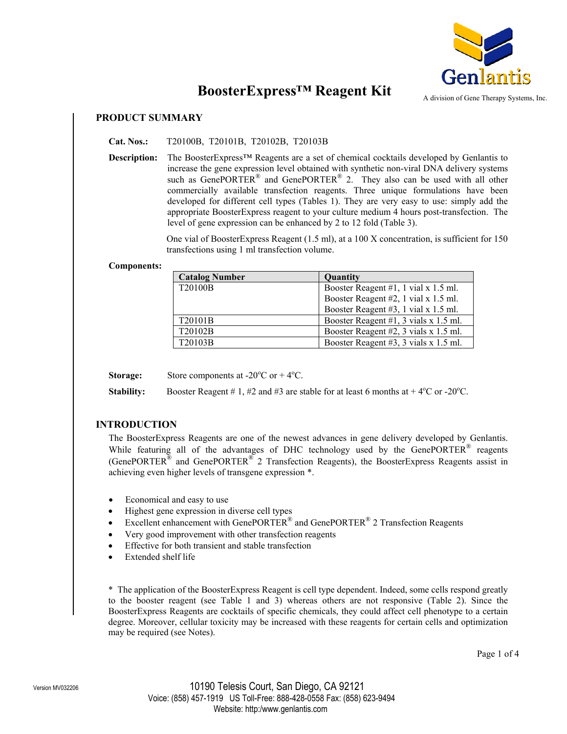

# **BoosterExpress™ Reagent Kit**

A division of Gene Therapy Systems, Inc.

## **PRODUCT SUMMARY**

**Cat. Nos.:** T20100B, T20101B, T20102B, T20103B

**Description:** The BoosterExpress™ Reagents are a set of chemical cocktails developed by Genlantis to increase the gene expression level obtained with synthetic non-viral DNA delivery systems such as GenePORTER<sup>®</sup> and GenePORTER<sup>®</sup> 2. They also can be used with all other commercially available transfection reagents. Three unique formulations have been developed for different cell types (Tables 1). They are very easy to use: simply add the appropriate BoosterExpress reagent to your culture medium 4 hours post-transfection. The level of gene expression can be enhanced by 2 to 12 fold (Table 3).

> One vial of BoosterExpress Reagent (1.5 ml), at a 100 X concentration, is sufficient for 150 transfections using 1 ml transfection volume.

#### **Components:**

| <b>Catalog Number</b> | <b>Quantity</b>                       |
|-----------------------|---------------------------------------|
| T20100B               | Booster Reagent #1, 1 vial x 1.5 ml.  |
|                       | Booster Reagent #2, 1 vial x 1.5 ml.  |
|                       | Booster Reagent #3, 1 vial x 1.5 ml.  |
| T20101B               | Booster Reagent #1, 3 vials x 1.5 ml. |
| T20102B               | Booster Reagent #2, 3 vials x 1.5 ml. |
| T20103B               | Booster Reagent #3, 3 vials x 1.5 ml. |

**Storage:** Store components at  $-20^{\circ}$ C or  $+4^{\circ}$ C.

**Stability:** Booster Reagent  $# 1, #2$  and  $#3$  are stable for at least 6 months at  $+ 4^{\circ}$ C or -20<sup>o</sup>C.

## **INTRODUCTION**

The BoosterExpress Reagents are one of the newest advances in gene delivery developed by Genlantis. While featuring all of the advantages of DHC technology used by the GenePORTER<sup>®</sup> reagents (GenePORTER<sup>®</sup> and GenePORTER<sup>®</sup> 2 Transfection Reagents), the BoosterExpress Reagents assist in achieving even higher levels of transgene expression \*.

- Economical and easy to use
- Highest gene expression in diverse cell types
- Excellent enhancement with GenePORTER<sup>®</sup> and GenePORTER<sup>®</sup> 2 Transfection Reagents
- Very good improvement with other transfection reagents
- Effective for both transient and stable transfection
- Extended shelf life

\* The application of the BoosterExpress Reagent is cell type dependent. Indeed, some cells respond greatly to the booster reagent (see Table 1 and 3) whereas others are not responsive (Table 2). Since the BoosterExpress Reagents are cocktails of specific chemicals, they could affect cell phenotype to a certain degree. Moreover, cellular toxicity may be increased with these reagents for certain cells and optimization may be required (see Notes).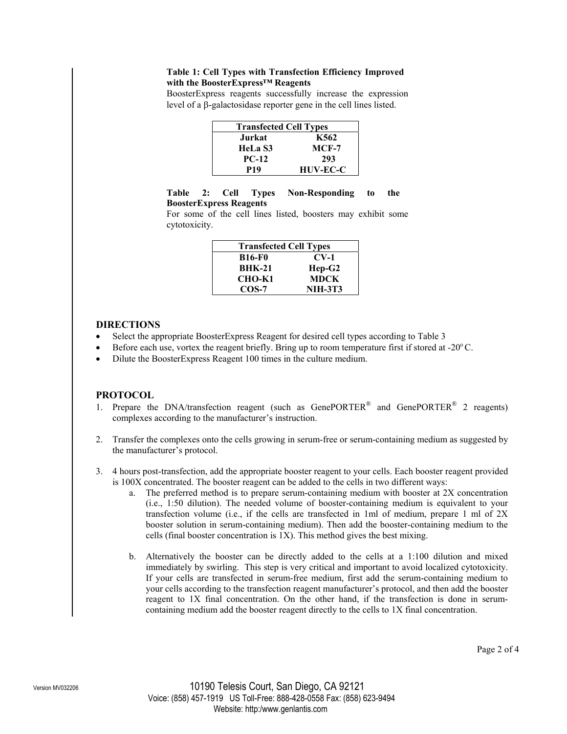#### **Table 1: Cell Types with Transfection Efficiency Improved with the BoosterExpress™ Reagents**

BoosterExpress reagents successfully increase the expression level of a β-galactosidase reporter gene in the cell lines listed.

| <b>Transfected Cell Types</b> |                 |  |  |
|-------------------------------|-----------------|--|--|
| Jurkat                        | K562            |  |  |
| HeLa S3                       | $MCF-7$         |  |  |
| $PC-12$                       | 293             |  |  |
| P19                           | <b>HUV-EC-C</b> |  |  |

#### **Table 2: Cell Types Non-Responding to the BoosterExpress Reagents**

For some of the cell lines listed, boosters may exhibit some cytotoxicity.

| <b>Transfected Cell Types</b> |                |  |
|-------------------------------|----------------|--|
| <b>B16-F0</b>                 | $CV-1$         |  |
| <b>BHK-21</b>                 | $Hep-G2$       |  |
| CHO-K1                        | <b>MDCK</b>    |  |
| $COS-7$                       | <b>NIH-3T3</b> |  |

#### **DIRECTIONS**

- Select the appropriate BoosterExpress Reagent for desired cell types according to Table 3
- Before each use, vortex the reagent briefly. Bring up to room temperature first if stored at  $-20^{\circ}$ C.
- Dilute the BoosterExpress Reagent 100 times in the culture medium.

## **PROTOCOL**

- 1. Prepare the DNA/transfection reagent (such as GenePORTER® and GenePORTER® 2 reagents) complexes according to the manufacturer's instruction.
- 2. Transfer the complexes onto the cells growing in serum-free or serum-containing medium as suggested by the manufacturer's protocol.
- 3. 4 hours post-transfection, add the appropriate booster reagent to your cells. Each booster reagent provided is 100X concentrated. The booster reagent can be added to the cells in two different ways:
	- a. The preferred method is to prepare serum-containing medium with booster at 2X concentration (i.e., 1:50 dilution). The needed volume of booster-containing medium is equivalent to your transfection volume (i.e., if the cells are transfected in 1ml of medium, prepare 1 ml of 2X booster solution in serum-containing medium). Then add the booster-containing medium to the cells (final booster concentration is 1X). This method gives the best mixing.
	- b. Alternatively the booster can be directly added to the cells at a 1:100 dilution and mixed immediately by swirling. This step is very critical and important to avoid localized cytotoxicity. If your cells are transfected in serum-free medium, first add the serum-containing medium to your cells according to the transfection reagent manufacturer's protocol, and then add the booster reagent to 1X final concentration. On the other hand, if the transfection is done in serumcontaining medium add the booster reagent directly to the cells to 1X final concentration.

Page 2 of 4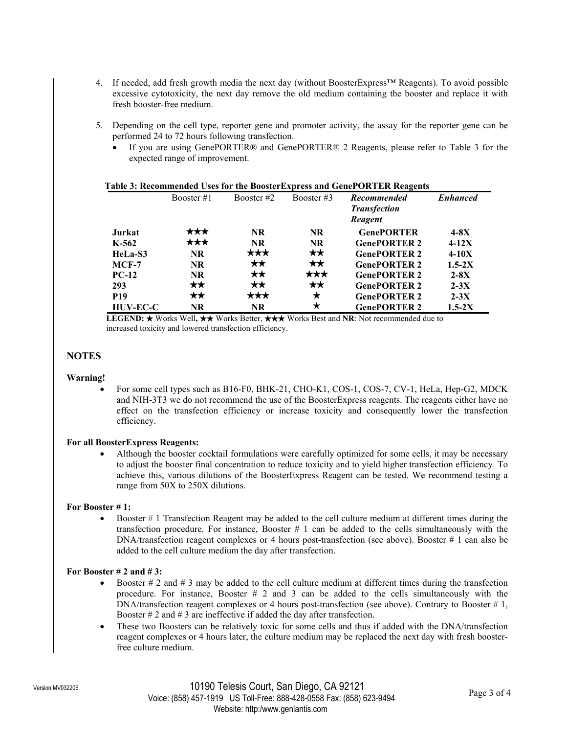- 4. If needed, add fresh growth media the next day (without BoosterExpress™ Reagents). To avoid possible excessive cytotoxicity, the next day remove the old medium containing the booster and replace it with fresh booster-free medium.
- 5. Depending on the cell type, reporter gene and promoter activity, the assay for the reporter gene can be performed 24 to 72 hours following transfection.
	- If you are using GenePORTER® and GenePORTER® 2 Reagents, please refer to Table 3 for the expected range of improvement.

| Table 3: Recommended Uses for the BoosterExpress and GenePORTER Reagents |              |              |              |                                           |                 |  |  |
|--------------------------------------------------------------------------|--------------|--------------|--------------|-------------------------------------------|-----------------|--|--|
|                                                                          | Booster $#1$ | Booster #2   | Booster $#3$ | <b>Recommended</b><br><b>Transfection</b> | <b>Enhanced</b> |  |  |
|                                                                          |              |              |              | Reagent                                   |                 |  |  |
| Jurkat                                                                   | ***          | <b>NR</b>    | <b>NR</b>    | <b>GenePORTER</b>                         | $4-8X$          |  |  |
| $K-562$                                                                  | ***          | <b>NR</b>    | <b>NR</b>    | <b>GenePORTER 2</b>                       | $4-12X$         |  |  |
| HeLa-S3                                                                  | <b>NR</b>    | ***          | $\star\star$ | <b>GenePORTER 2</b>                       | $4-10X$         |  |  |
| $MCF-7$                                                                  | <b>NR</b>    | $\star\star$ | $\star\star$ | <b>GenePORTER 2</b>                       | $1.5 - 2X$      |  |  |
| $PC-12$                                                                  | <b>NR</b>    | $\star\star$ | ***          | <b>GenePORTER 2</b>                       | $2-8X$          |  |  |
| 293                                                                      | ★★           | $\star\star$ | $\star\star$ | <b>GenePORTER 2</b>                       | $2-3X$          |  |  |
| <b>P19</b>                                                               | **           | ***          | ★            | <b>GenePORTER 2</b>                       | $2-3X$          |  |  |
| <b>HUV-EC-C</b>                                                          | <b>NR</b>    | <b>NR</b>    | ★            | <b>GenePORTER 2</b>                       | $1.5-2X$        |  |  |

**LEGEND: ★** Works Well, ★★ Works Better, ★★★ Works Best and **NR**: Not recommended due to increased toxicity and lowered transfection efficiency.

#### **NOTES**

#### **Warning!**

• For some cell types such as B16-F0, BHK-21, CHO-K1, COS-1, COS-7, CV-1, HeLa, Hep-G2, MDCK and NIH-3T3 we do not recommend the use of the BoosterExpress reagents. The reagents either have no effect on the transfection efficiency or increase toxicity and consequently lower the transfection efficiency.

#### **For all BoosterExpress Reagents:**

• Although the booster cocktail formulations were carefully optimized for some cells, it may be necessary to adjust the booster final concentration to reduce toxicity and to yield higher transfection efficiency. To achieve this, various dilutions of the BoosterExpress Reagent can be tested. We recommend testing a range from 50X to 250X dilutions.

#### **For Booster # 1:**

• Booster # 1 Transfection Reagent may be added to the cell culture medium at different times during the transfection procedure. For instance, Booster # 1 can be added to the cells simultaneously with the DNA/transfection reagent complexes or 4 hours post-transfection (see above). Booster # 1 can also be added to the cell culture medium the day after transfection.

#### **For Booster # 2 and # 3:**

- Booster  $\# 2$  and  $\# 3$  may be added to the cell culture medium at different times during the transfection procedure. For instance, Booster # 2 and 3 can be added to the cells simultaneously with the DNA/transfection reagent complexes or 4 hours post-transfection (see above). Contrary to Booster # 1, Booster  $# 2$  and  $# 3$  are ineffective if added the day after transfection.
- These two Boosters can be relatively toxic for some cells and thus if added with the DNA/transfection reagent complexes or 4 hours later, the culture medium may be replaced the next day with fresh boosterfree culture medium.